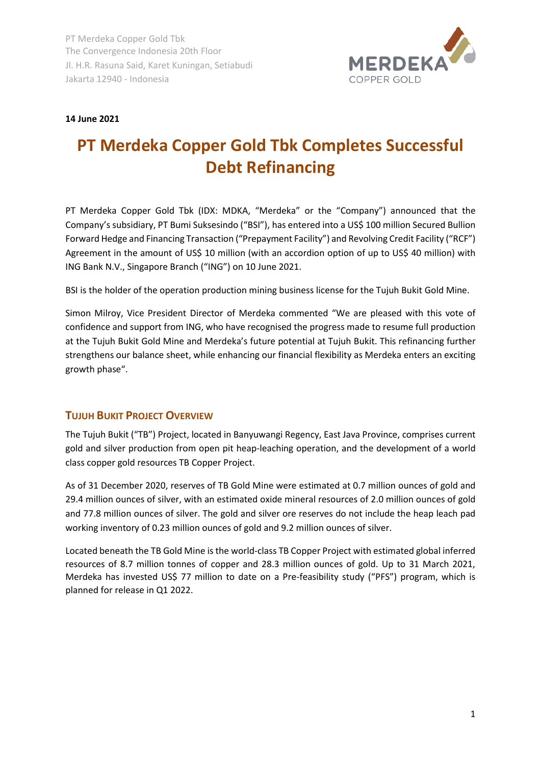

## **14 June 2021**

# **PT Merdeka Copper Gold Tbk Completes Successful Debt Refinancing**

PT Merdeka Copper Gold Tbk (IDX: MDKA, "Merdeka" or the "Company") announced that the Company's subsidiary, PT Bumi Suksesindo ("BSI"), has entered into a US\$ 100 million Secured Bullion Forward Hedge and Financing Transaction ("Prepayment Facility") and Revolving Credit Facility ("RCF") Agreement in the amount of US\$ 10 million (with an accordion option of up to US\$ 40 million) with ING Bank N.V., Singapore Branch ("ING") on 10 June 2021.

BSI is the holder of the operation production mining business license for the Tujuh Bukit Gold Mine.

Simon Milroy, Vice President Director of Merdeka commented "We are pleased with this vote of confidence and support from ING, who have recognised the progress made to resume full production at the Tujuh Bukit Gold Mine and Merdeka's future potential at Tujuh Bukit. This refinancing further strengthens our balance sheet, while enhancing our financial flexibility as Merdeka enters an exciting growth phase".

## **TUJUH BUKIT PROJECT OVERVIEW**

The Tujuh Bukit ("TB") Project, located in Banyuwangi Regency, East Java Province, comprises current gold and silver production from open pit heap-leaching operation, and the development of a world class copper gold resources TB Copper Project.

As of 31 December 2020, reserves of TB Gold Mine were estimated at 0.7 million ounces of gold and 29.4 million ounces of silver, with an estimated oxide mineral resources of 2.0 million ounces of gold and 77.8 million ounces of silver. The gold and silver ore reserves do not include the heap leach pad working inventory of 0.23 million ounces of gold and 9.2 million ounces of silver.

Located beneath the TB Gold Mine is the world-class TB Copper Project with estimated global inferred resources of 8.7 million tonnes of copper and 28.3 million ounces of gold. Up to 31 March 2021, Merdeka has invested US\$ 77 million to date on a Pre-feasibility study ("PFS") program, which is planned for release in Q1 2022.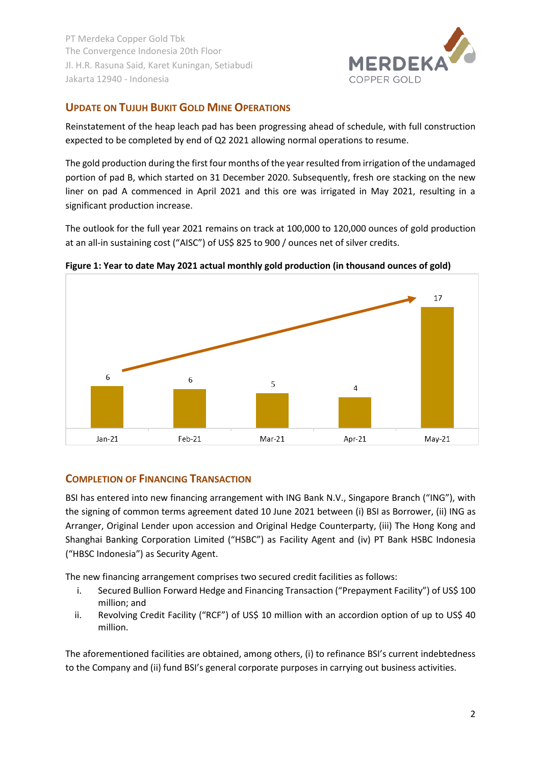

# **UPDATE ON TUJUH BUKIT GOLD MINE OPERATIONS**

Reinstatement of the heap leach pad has been progressing ahead of schedule, with full construction expected to be completed by end of Q2 2021 allowing normal operations to resume.

The gold production during the first four months of the year resulted from irrigation of the undamaged portion of pad B, which started on 31 December 2020. Subsequently, fresh ore stacking on the new liner on pad A commenced in April 2021 and this ore was irrigated in May 2021, resulting in a significant production increase.

The outlook for the full year 2021 remains on track at 100,000 to 120,000 ounces of gold production at an all-in sustaining cost ("AISC") of US\$ 825 to 900 / ounces net of silver credits.



**Figure 1: Year to date May 2021 actual monthly gold production (in thousand ounces of gold)**

# **COMPLETION OF FINANCING TRANSACTION**

BSI has entered into new financing arrangement with ING Bank N.V., Singapore Branch ("ING"), with the signing of common terms agreement dated 10 June 2021 between (i) BSI as Borrower, (ii) ING as Arranger, Original Lender upon accession and Original Hedge Counterparty, (iii) The Hong Kong and Shanghai Banking Corporation Limited ("HSBC") as Facility Agent and (iv) PT Bank HSBC Indonesia ("HBSC Indonesia") as Security Agent.

The new financing arrangement comprises two secured credit facilities as follows:

- i. Secured Bullion Forward Hedge and Financing Transaction ("Prepayment Facility") of US\$ 100 million; and
- ii. Revolving Credit Facility ("RCF") of US\$ 10 million with an accordion option of up to US\$ 40 million.

The aforementioned facilities are obtained, among others, (i) to refinance BSI's current indebtedness to the Company and (ii) fund BSI's general corporate purposes in carrying out business activities.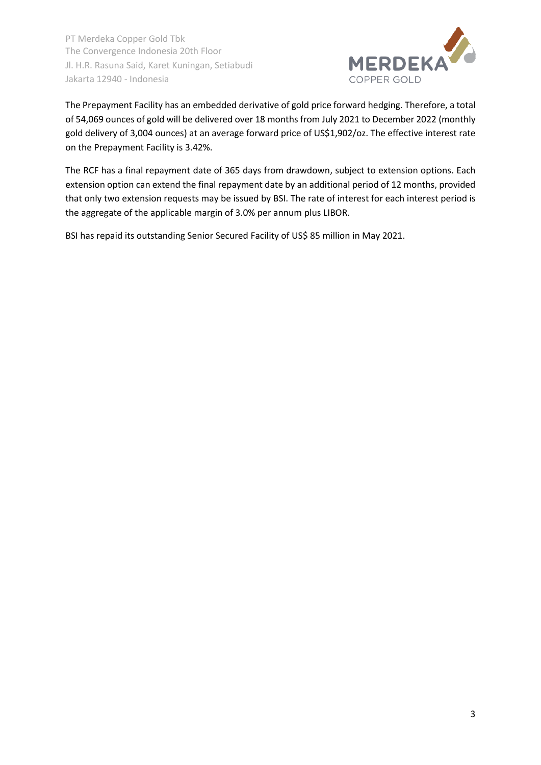

The Prepayment Facility has an embedded derivative of gold price forward hedging. Therefore, a total of 54,069 ounces of gold will be delivered over 18 months from July 2021 to December 2022 (monthly gold delivery of 3,004 ounces) at an average forward price of US\$1,902/oz. The effective interest rate on the Prepayment Facility is 3.42%.

The RCF has a final repayment date of 365 days from drawdown, subject to extension options. Each extension option can extend the final repayment date by an additional period of 12 months, provided that only two extension requests may be issued by BSI. The rate of interest for each interest period is the aggregate of the applicable margin of 3.0% per annum plus LIBOR.

BSI has repaid its outstanding Senior Secured Facility of US\$ 85 million in May 2021.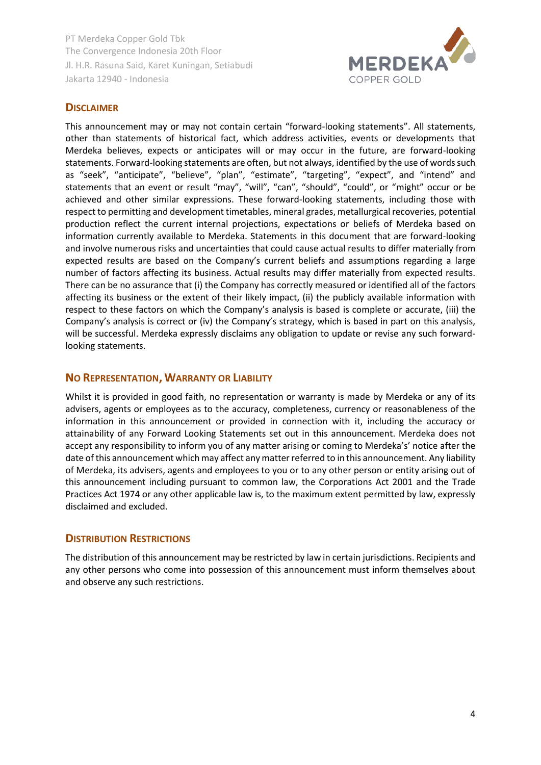

### **DISCLAIMER**

This announcement may or may not contain certain "forward-looking statements". All statements, other than statements of historical fact, which address activities, events or developments that Merdeka believes, expects or anticipates will or may occur in the future, are forward-looking statements. Forward-looking statements are often, but not always, identified by the use of words such as "seek", "anticipate", "believe", "plan", "estimate", "targeting", "expect", and "intend" and statements that an event or result "may", "will", "can", "should", "could", or "might" occur or be achieved and other similar expressions. These forward-looking statements, including those with respect to permitting and development timetables, mineral grades, metallurgical recoveries, potential production reflect the current internal projections, expectations or beliefs of Merdeka based on information currently available to Merdeka. Statements in this document that are forward-looking and involve numerous risks and uncertainties that could cause actual results to differ materially from expected results are based on the Company's current beliefs and assumptions regarding a large number of factors affecting its business. Actual results may differ materially from expected results. There can be no assurance that (i) the Company has correctly measured or identified all of the factors affecting its business or the extent of their likely impact, (ii) the publicly available information with respect to these factors on which the Company's analysis is based is complete or accurate, (iii) the Company's analysis is correct or (iv) the Company's strategy, which is based in part on this analysis, will be successful. Merdeka expressly disclaims any obligation to update or revise any such forwardlooking statements.

### **NO REPRESENTATION, WARRANTY OR LIABILITY**

Whilst it is provided in good faith, no representation or warranty is made by Merdeka or any of its advisers, agents or employees as to the accuracy, completeness, currency or reasonableness of the information in this announcement or provided in connection with it, including the accuracy or attainability of any Forward Looking Statements set out in this announcement. Merdeka does not accept any responsibility to inform you of any matter arising or coming to Merdeka's' notice after the date of this announcement which may affect any matter referred to in this announcement. Any liability of Merdeka, its advisers, agents and employees to you or to any other person or entity arising out of this announcement including pursuant to common law, the Corporations Act 2001 and the Trade Practices Act 1974 or any other applicable law is, to the maximum extent permitted by law, expressly disclaimed and excluded.

#### **DISTRIBUTION RESTRICTIONS**

The distribution of this announcement may be restricted by law in certain jurisdictions. Recipients and any other persons who come into possession of this announcement must inform themselves about and observe any such restrictions.